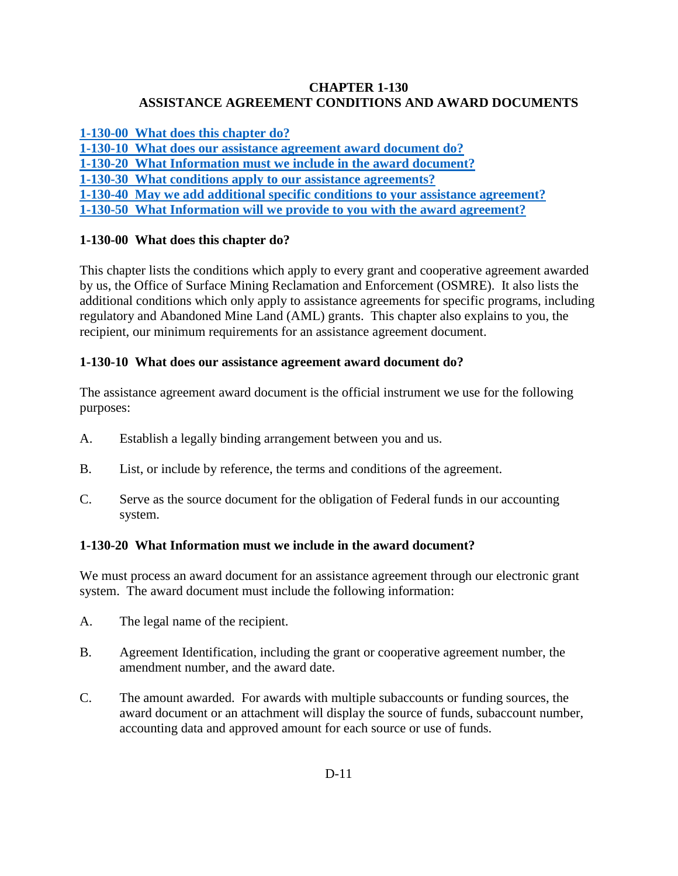### **CHAPTER 1-130 ASSISTANCE AGREEMENT CONDITIONS AND AWARD DOCUMENTS**

**[1-130-00 What does this chapter do?](#page-0-0)**

**[1-130-10 What does our assistance agreement award document do?](#page-0-1)**

**1-130-20 [What Information must we include in the award document?](#page-0-2)**

**[1-130-30 What conditions apply to our assistance agreements?](#page-1-0)**

**[1-130-40 May we add additional specific conditions to your assistance agreement?](#page-4-0)**

**[1-130-50 What Information will we provide to you with the award agreement?](#page-4-1)**

## <span id="page-0-0"></span>**1-130-00 What does this chapter do?**

This chapter lists the conditions which apply to every grant and cooperative agreement awarded by us, the Office of Surface Mining Reclamation and Enforcement (OSMRE). It also lists the additional conditions which only apply to assistance agreements for specific programs, including regulatory and Abandoned Mine Land (AML) grants. This chapter also explains to you, the recipient, our minimum requirements for an assistance agreement document.

## <span id="page-0-1"></span>**1-130-10 What does our assistance agreement award document do?**

The assistance agreement award document is the official instrument we use for the following purposes:

- A. Establish a legally binding arrangement between you and us.
- B. List, or include by reference, the terms and conditions of the agreement.
- C. Serve as the source document for the obligation of Federal funds in our accounting system.

# <span id="page-0-2"></span>**1-130-20 What Information must we include in the award document?**

We must process an award document for an assistance agreement through our electronic grant system. The award document must include the following information:

- A. The legal name of the recipient.
- B. Agreement Identification, including the grant or cooperative agreement number, the amendment number, and the award date.
- C. The amount awarded. For awards with multiple subaccounts or funding sources, the award document or an attachment will display the source of funds, subaccount number, accounting data and approved amount for each source or use of funds.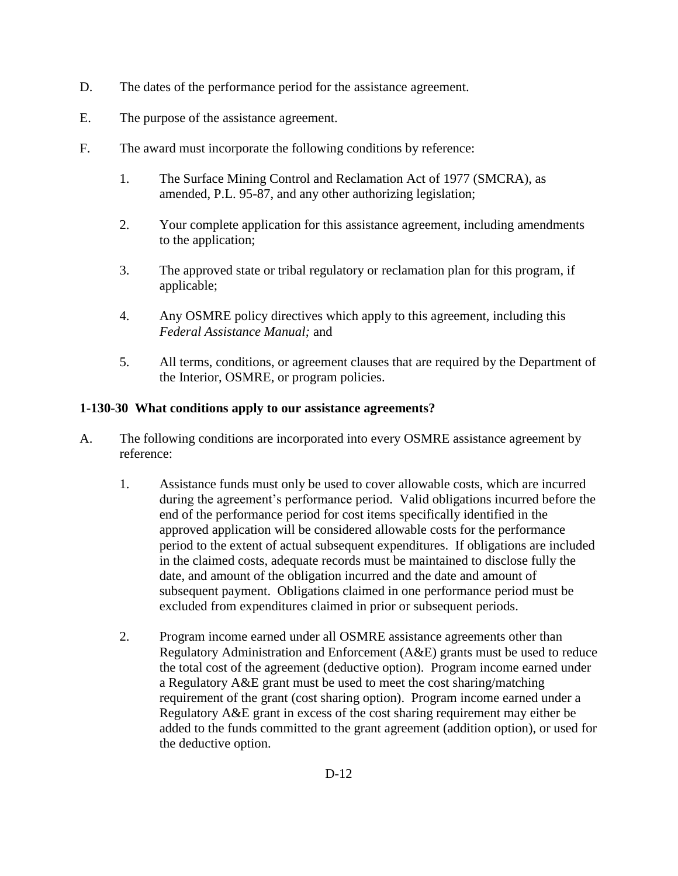- D. The dates of the performance period for the assistance agreement.
- E. The purpose of the assistance agreement.
- F. The award must incorporate the following conditions by reference:
	- 1. The Surface Mining Control and Reclamation Act of 1977 (SMCRA), as amended, P.L. 95-87, and any other authorizing legislation;
	- 2. Your complete application for this assistance agreement, including amendments to the application;
	- 3. The approved state or tribal regulatory or reclamation plan for this program, if applicable;
	- 4. Any OSMRE policy directives which apply to this agreement, including this *Federal Assistance Manual;* and
	- 5. All terms, conditions, or agreement clauses that are required by the Department of the Interior, OSMRE, or program policies.

#### <span id="page-1-0"></span>**1-130-30 What conditions apply to our assistance agreements?**

- A. The following conditions are incorporated into every OSMRE assistance agreement by reference:
	- 1. Assistance funds must only be used to cover allowable costs, which are incurred during the agreement's performance period. Valid obligations incurred before the end of the performance period for cost items specifically identified in the approved application will be considered allowable costs for the performance period to the extent of actual subsequent expenditures. If obligations are included in the claimed costs, adequate records must be maintained to disclose fully the date, and amount of the obligation incurred and the date and amount of subsequent payment. Obligations claimed in one performance period must be excluded from expenditures claimed in prior or subsequent periods.
	- 2. Program income earned under all OSMRE assistance agreements other than Regulatory Administration and Enforcement (A&E) grants must be used to reduce the total cost of the agreement (deductive option). Program income earned under a Regulatory A&E grant must be used to meet the cost sharing/matching requirement of the grant (cost sharing option). Program income earned under a Regulatory A&E grant in excess of the cost sharing requirement may either be added to the funds committed to the grant agreement (addition option), or used for the deductive option.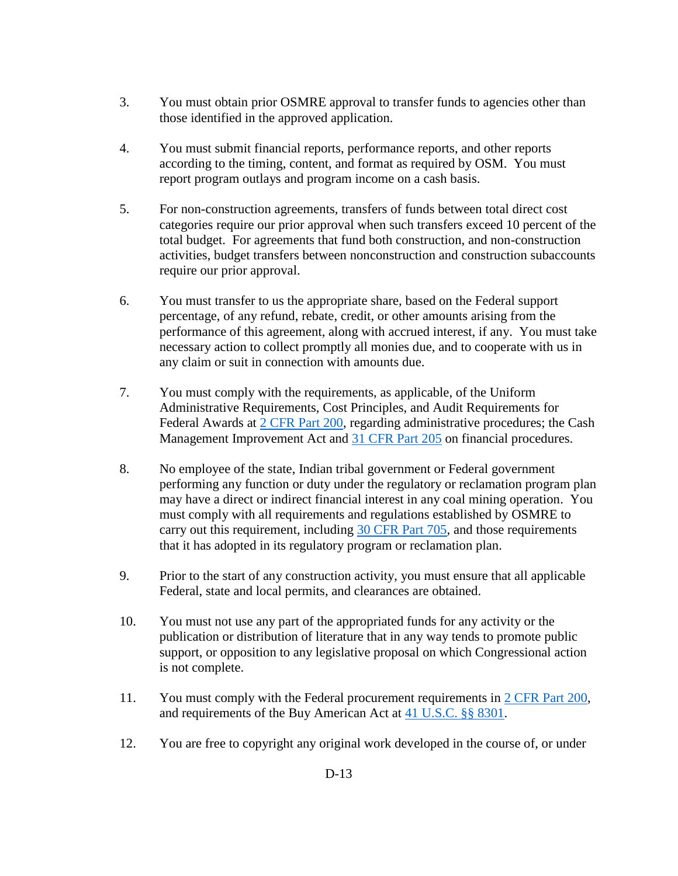- 3. You must obtain prior OSMRE approval to transfer funds to agencies other than those identified in the approved application.
- 4. You must submit financial reports, performance reports, and other reports according to the timing, content, and format as required by OSM. You must report program outlays and program income on a cash basis.
- 5. For non-construction agreements, transfers of funds between total direct cost categories require our prior approval when such transfers exceed 10 percent of the total budget. For agreements that fund both construction, and non-construction activities, budget transfers between nonconstruction and construction subaccounts require our prior approval.
- 6. You must transfer to us the appropriate share, based on the Federal support percentage, of any refund, rebate, credit, or other amounts arising from the performance of this agreement, along with accrued interest, if any. You must take necessary action to collect promptly all monies due, and to cooperate with us in any claim or suit in connection with amounts due.
- 7. You must comply with the requirements, as applicable, of the Uniform Administrative Requirements, Cost Principles, and Audit Requirements for Federal Awards at [2 CFR Part 200,](http://www.ecfr.gov/cgi-bin/text-idx?SID=bea870f78a11c3ebfd5d2ab4177f8679&node=pt2.1.200&rgn=div5http://www.ecfr.gov/cgi-bin/text-idx?SID=bea870f78a11c3ebfd5d2ab4177f8679&node=pt2.1.200&rgn=div5) regarding administrative procedures; the Cash Management Improvement Act and [31 CFR Part 205](http://www.ecfr.gov/cgi-bin/text-idx?SID=bea870f78a11c3ebfd5d2ab4177f8679&node=pt31.2.205&rgn=div5) on financial procedures.
- 8. No employee of the state, Indian tribal government or Federal government performing any function or duty under the regulatory or reclamation program plan may have a direct or indirect financial interest in any coal mining operation. You must comply with all requirements and regulations established by OSMRE to carry out this requirement, including [30 CFR Part 705,](http://www.ecfr.gov/cgi-bin/text-idx?SID=bea870f78a11c3ebfd5d2ab4177f8679&node=pt30.3.705&rgn=div5) and those requirements that it has adopted in its regulatory program or reclamation plan.
- 9. Prior to the start of any construction activity, you must ensure that all applicable Federal, state and local permits, and clearances are obtained.
- 10. You must not use any part of the appropriated funds for any activity or the publication or distribution of literature that in any way tends to promote public support, or opposition to any legislative proposal on which Congressional action is not complete.
- 11. You must comply with the Federal procurement requirements in [2 CFR Part 200,](http://www.ecfr.gov/cgi-bin/text-idx?SID=bea870f78a11c3ebfd5d2ab4177f8679&node=pt2.1.200&rgn=div5http://www.ecfr.gov/cgi-bin/text-idx?SID=bea870f78a11c3ebfd5d2ab4177f8679&node=pt2.1.200&rgn=div5) and requirements of the Buy American Act at [41 U.S.C. §§ 8301.](http://uscode.house.gov/view.xhtml?path=/prelim@title41/subtitle4/chapter83&edition=prelim)
- 12. You are free to copyright any original work developed in the course of, or under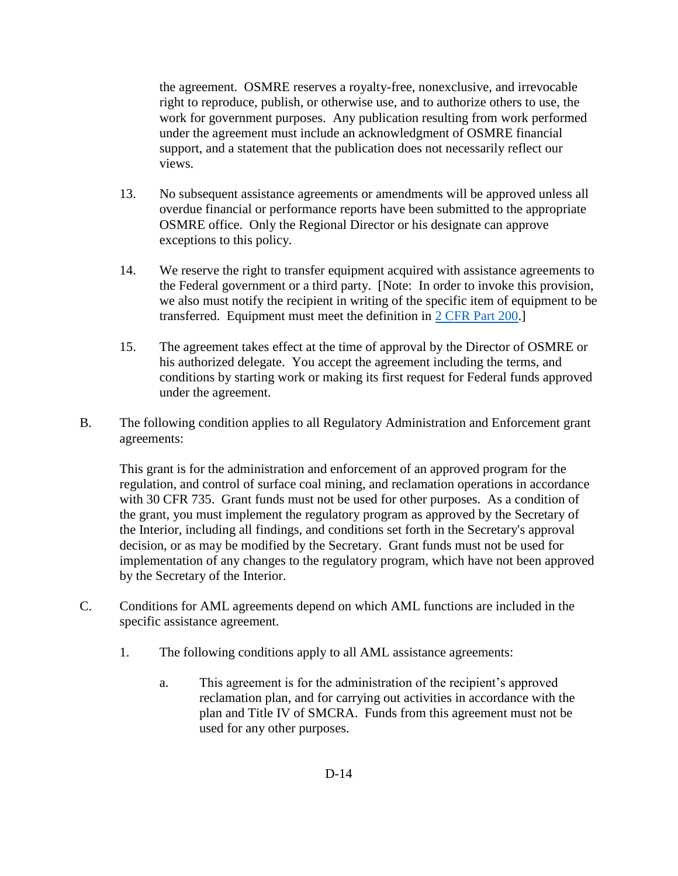the agreement. OSMRE reserves a royalty-free, nonexclusive, and irrevocable right to reproduce, publish, or otherwise use, and to authorize others to use, the work for government purposes. Any publication resulting from work performed under the agreement must include an acknowledgment of OSMRE financial support, and a statement that the publication does not necessarily reflect our views.

- 13. No subsequent assistance agreements or amendments will be approved unless all overdue financial or performance reports have been submitted to the appropriate OSMRE office. Only the Regional Director or his designate can approve exceptions to this policy.
- 14. We reserve the right to transfer equipment acquired with assistance agreements to the Federal government or a third party. [Note: In order to invoke this provision, we also must notify the recipient in writing of the specific item of equipment to be transferred. Equipment must meet the definition in [2 CFR Part 200.](http://www.ecfr.gov/cgi-bin/text-idx?SID=00fc7cf00385e330be4477969b5ae845&node=pt2.1.200&rgn=div5)]
- 15. The agreement takes effect at the time of approval by the Director of OSMRE or his authorized delegate. You accept the agreement including the terms, and conditions by starting work or making its first request for Federal funds approved under the agreement.
- B. The following condition applies to all Regulatory Administration and Enforcement grant agreements:

This grant is for the administration and enforcement of an approved program for the regulation, and control of surface coal mining, and reclamation operations in accordance with 30 CFR 735. Grant funds must not be used for other purposes. As a condition of the grant, you must implement the regulatory program as approved by the Secretary of the Interior, including all findings, and conditions set forth in the Secretary's approval decision, or as may be modified by the Secretary. Grant funds must not be used for implementation of any changes to the regulatory program, which have not been approved by the Secretary of the Interior.

- C. Conditions for AML agreements depend on which AML functions are included in the specific assistance agreement.
	- 1. The following conditions apply to all AML assistance agreements:
		- a. This agreement is for the administration of the recipient's approved reclamation plan, and for carrying out activities in accordance with the plan and Title IV of SMCRA. Funds from this agreement must not be used for any other purposes.